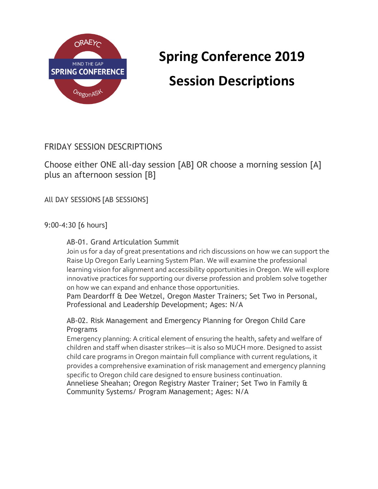

# **Spring Conference 2019 Session Descriptions**

# FRIDAY SESSION DESCRIPTIONS

Choose either ONE all-day session [AB] OR choose a morning session [A] plus an afternoon session [B]

All DAY SESSIONS [AB SESSIONS]

9:00-4:30 [6 hours]

# AB-01. Grand Articulation Summit

Join us for a day of great presentations and rich discussions on how we can support the Raise Up Oregon Early Learning System Plan. We will examine the professional learning vision for alignment and accessibility opportunities in Oregon. We will explore innovative practices for supporting our diverse profession and problem solve together on how we can expand and enhance those opportunities.

Pam Deardorff & Dee Wetzel, Oregon Master Trainers; Set Two in Personal, Professional and Leadership Development; Ages: N/A

AB-02. Risk Management and Emergency Planning for Oregon Child Care Programs

Emergency planning: A critical element of ensuring the health, safety and welfare of children and staff when disaster strikes—it is also so MUCH more. Designed to assist child care programs in Oregon maintain full compliance with current regulations, it provides a comprehensive examination of risk management and emergency planning specific to Oregon child care designed to ensure business continuation. Anneliese Sheahan; Oregon Registry Master Trainer; Set Two in Family & Community Systems/ Program Management; Ages: N/A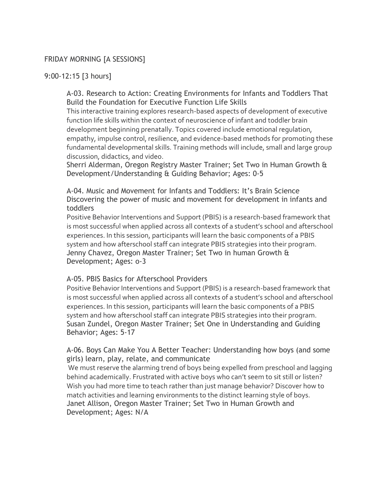# FRIDAY MORNING [A SESSIONS]

# 9:00-12:15 [3 hours]

A-03. Research to Action: Creating Environments for Infants and Toddlers That Build the Foundation for Executive Function Life Skills

This interactive training explores research-based aspects of development of executive function life skills within the context of neuroscience of infant and toddler brain development beginning prenatally. Topics covered include emotional regulation, empathy, impulse control, resilience, and evidence-based methods for promoting these fundamental developmental skills. Training methods will include, small and large group discussion, didactics, and video.

Sherri Alderman, Oregon Registry Master Trainer; Set Two in Human Growth & Development/Understanding & Guiding Behavior; Ages: 0-5

A-04. Music and Movement for Infants and Toddlers: It's Brain Science Discovering the power of music and movement for development in infants and toddlers

Positive Behavior Interventions and Support (PBIS) is a research-based framework that is most successful when applied across all contexts of a student's school and afterschool experiences. In this session, participants will learn the basic components of a PBIS system and how afterschool staff can integrate PBIS strategies into their program. Jenny Chavez, Oregon Master Trainer; Set Two in human Growth & Development; Ages: o-3

## A-05. PBIS Basics for Afterschool Providers

Positive Behavior Interventions and Support (PBIS) is a research-based framework that is most successful when applied across all contexts of a student's school and afterschool experiences. In this session, participants will learn the basic components of a PBIS system and how afterschool staff can integrate PBIS strategies into their program. Susan Zundel, Oregon Master Trainer; Set One in Understanding and Guiding Behavior; Ages: 5-17

A-06. Boys Can Make You A Better Teacher: Understanding how boys (and some girls) learn, play, relate, and communicate

We must reserve the alarming trend of boys being expelled from preschool and lagging behind academically. Frustrated with active boys who can't seem to sit still or listen? Wish you had more time to teach rather than just manage behavior? Discover how to match activities and learning environments to the distinct learning style of boys. Janet Allison, Oregon Master Trainer; Set Two in Human Growth and Development; Ages: N/A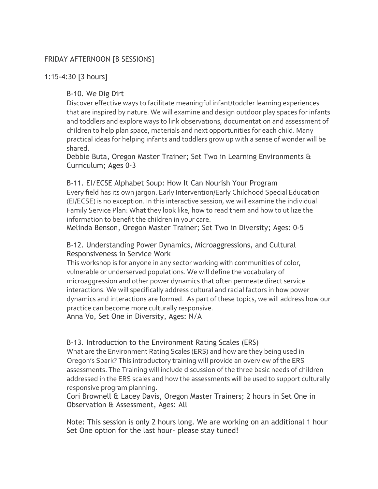# FRIDAY AFTERNOON [B SESSIONS]

## 1:15-4:30 [3 hours]

## B-10. We Dig Dirt

Discover effective ways to facilitate meaningful infant/toddler learning experiences that are inspired by nature. We will examine and design outdoor play spaces for infants and toddlers and explore ways to link observations, documentation and assessment of children to help plan space, materials and next opportunities for each child. Many practical ideas for helping infants and toddlers grow up with a sense of wonder will be shared.

Debbie Buta, Oregon Master Trainer; Set Two in Learning Environments & Curriculum; Ages 0-3

#### B-11. EI/ECSE Alphabet Soup: How It Can Nourish Your Program

Every field has its own jargon. Early Intervention/Early Childhood Special Education (EI/ECSE) is no exception. In this interactive session, we will examine the individual Family Service Plan: What they look like, how to read them and how to utilize the information to benefit the children in your care.

Melinda Benson, Oregon Master Trainer; Set Two in Diversity; Ages: 0-5

## B-12. Understanding Power Dynamics, Microaggressions, and Cultural Responsiveness in Service Work

This workshop is for anyone in any sector working with communities of color, vulnerable or underserved populations. We will define the vocabulary of microaggression and other power dynamics that often permeate direct service interactions. We will specifically address cultural and racial factors in how power dynamics and interactions are formed. As part of these topics, we will address how our practice can become more culturally responsive.

Anna Vo, Set One in Diversity, Ages: N/A

#### B-13. Introduction to the Environment Rating Scales (ERS)

What are the Environment Rating Scales (ERS) and how are they being used in Oregon's Spark? This introductory training will provide an overview of the ERS assessments. The Training will include discussion of the three basic needs of children addressed in the ERS scales and how the assessments will be used to support culturally responsive program planning.

Cori Brownell & Lacey Davis, Oregon Master Trainers; 2 hours in Set One in Observation & Assessment, Ages: All

Note: This session is only 2 hours long. We are working on an additional 1 hour Set One option for the last hour- please stay tuned!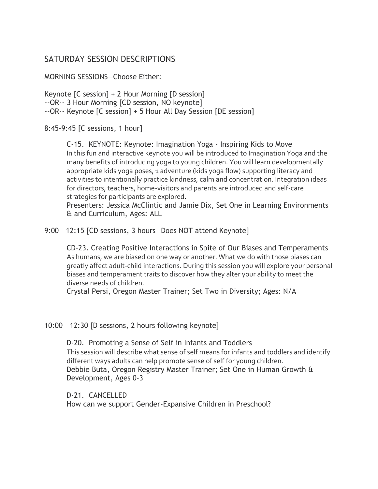# SATURDAY SESSION DESCRIPTIONS

MORNING SESSIONS—Choose Either:

Keynote [C session] + 2 Hour Morning [D session] --OR-- 3 Hour Morning [CD session, NO keynote] --OR-- Keynote [C session] + 5 Hour All Day Session [DE session]

8:45-9:45 [C sessions, 1 hour]

C-15. KEYNOTE: Keynote: Imagination Yoga - Inspiring Kids to Move In this fun and interactive keynote you will be introduced to Imagination Yoga and the many benefits of introducing yoga to young children. You will learn developmentally appropriate kids yoga poses, 1 adventure (kids yoga flow) supporting literacy and activities to intentionally practice kindness, calm and concentration. Integration ideas for directors, teachers, home-visitors and parents are introduced and self-care strategies for participants are explored.

Presenters: Jessica McClintic and Jamie Dix, Set One in Learning Environments & and Curriculum, Ages: ALL

9:00 – 12:15 [CD sessions, 3 hours—Does NOT attend Keynote]

CD-23. Creating Positive Interactions in Spite of Our Biases and Temperaments As humans, we are biased on one way or another. What we do with those biases can greatly affect adult-child interactions. During this session you will explore your personal biases and temperament traits to discover how they alter your ability to meet the diverse needs of children.

Crystal Persi, Oregon Master Trainer; Set Two in Diversity; Ages: N/A

## 10:00 – 12:30 [D sessions, 2 hours following keynote]

D-20. Promoting a Sense of Self in Infants and Toddlers This session will describe what sense of self means for infants and toddlers and identify different ways adults can help promote sense of self for young children. Debbie Buta, Oregon Registry Master Trainer; Set One in Human Growth & Development, Ages 0-3

D-21. CANCELLED How can we support Gender-Expansive Children in Preschool?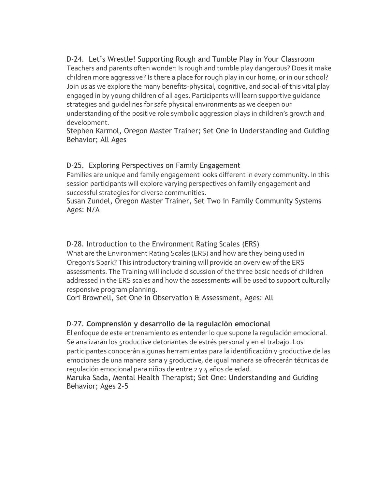D-24. Let's Wrestle! Supporting Rough and Tumble Play in Your Classroom Teachers and parents often wonder: Is rough and tumble play dangerous? Does it make children more aggressive? Is there a place for rough play in our home, or in our school? Join us as we explore the many benefits-physical, cognitive, and social-of this vital play engaged in by young children of all ages. Participants will learn supportive guidance strategies and guidelines for safe physical environments as we deepen our understanding of the positive role symbolic aggression plays in children's growth and development.

Stephen Karmol, Oregon Master Trainer; Set One in Understanding and Guiding Behavior; All Ages

# D-25. Exploring Perspectives on Family Engagement

Families are unique and family engagement looks different in every community. In this session participants will explore varying perspectives on family engagement and successful strategies for diverse communities.

Susan Zundel, Oregon Master Trainer, Set Two in Family Community Systems Ages: N/A

# D-28. Introduction to the Environment Rating Scales (ERS)

What are the Environment Rating Scales (ERS) and how are they being used in Oregon's Spark? This introductory training will provide an overview of the ERS assessments. The Training will include discussion of the three basic needs of children addressed in the ERS scales and how the assessments will be used to support culturally responsive program planning.

Cori Brownell, Set One in Observation & Assessment, Ages: All

# D-27. **Comprensión y desarrollo de la regulación emocional**

El enfoque de este entrenamiento es entender lo que supone la regulación emocional. Se analizarán los 5roductive detonantes de estrés personal y en el trabajo. Los participantes conocerán algunas herramientas para la identificación y 5roductive de las emociones de una manera sana y 5roductive, de igual manera se ofrecerán técnicas de regulación emocional para niños de entre 2 y 4 años de edad.

Maruka Sada, Mental Health Therapist; Set One: Understanding and Guiding Behavior; Ages 2-5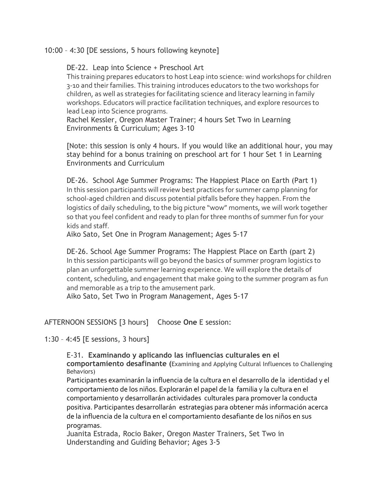10:00 – 4:30 [DE sessions, 5 hours following keynote]

# DE-22. Leap into Science + Preschool Art

This training prepares educators to host Leap into science: wind workshops for children 3-10 and their families. This training introduces educators to the two workshops for children, as well as strategies for facilitating science and literacy learning in family workshops. Educators will practice facilitation techniques, and explore resources to lead Leap into Science programs.

Rachel Kessler, Oregon Master Trainer; 4 hours Set Two in Learning Environments & Curriculum; Ages 3-10

[Note: this session is only 4 hours. If you would like an additional hour, you may stay behind for a bonus training on preschool art for 1 hour Set 1 in Learning Environments and Curriculum

DE-26. School Age Summer Programs: The Happiest Place on Earth (Part 1) In this session participants will review best practices for summer camp planning for school-aged children and discuss potential pitfalls before they happen. From the logistics of daily scheduling, to the big picture "wow" moments, we will work together so that you feel confident and ready to plan for three months of summer fun for your kids and staff.

Aiko Sato, Set One in Program Management; Ages 5-17

DE-26. School Age Summer Programs: The Happiest Place on Earth (part 2) In this session participants will go beyond the basics of summer program logistics to plan an unforgettable summer learning experience. We will explore the details of content, scheduling, and engagement that make going to the summer program as fun and memorable as a trip to the amusement park.

Aiko Sato, Set Two in Program Management, Ages 5-17

# AFTERNOON SESSIONS [3 hours] Choose **One** E session:

1:30 – 4:45 [E sessions, 3 hours]

E-31. **Examinando y aplicando las influencias culturales en el comportamiento desafinante (**Examining and Applying Cultural Influences to Challenging Behaviors)

Participantes examinarán la influencia de la cultura en el desarrollo de la identidad y el comportamiento de los niños. Explorarán el papel de la familia y la cultura en el comportamiento y desarrollarán actividades culturales para promover la conducta positiva. Participantes desarrollarán estrategias para obtener más información acerca de la influencia de la cultura en el comportamiento desafiante de los niños en sus programas.

Juanita Estrada, Rocio Baker, Oregon Master Trainers, Set Two in Understanding and Guiding Behavior; Ages 3-5